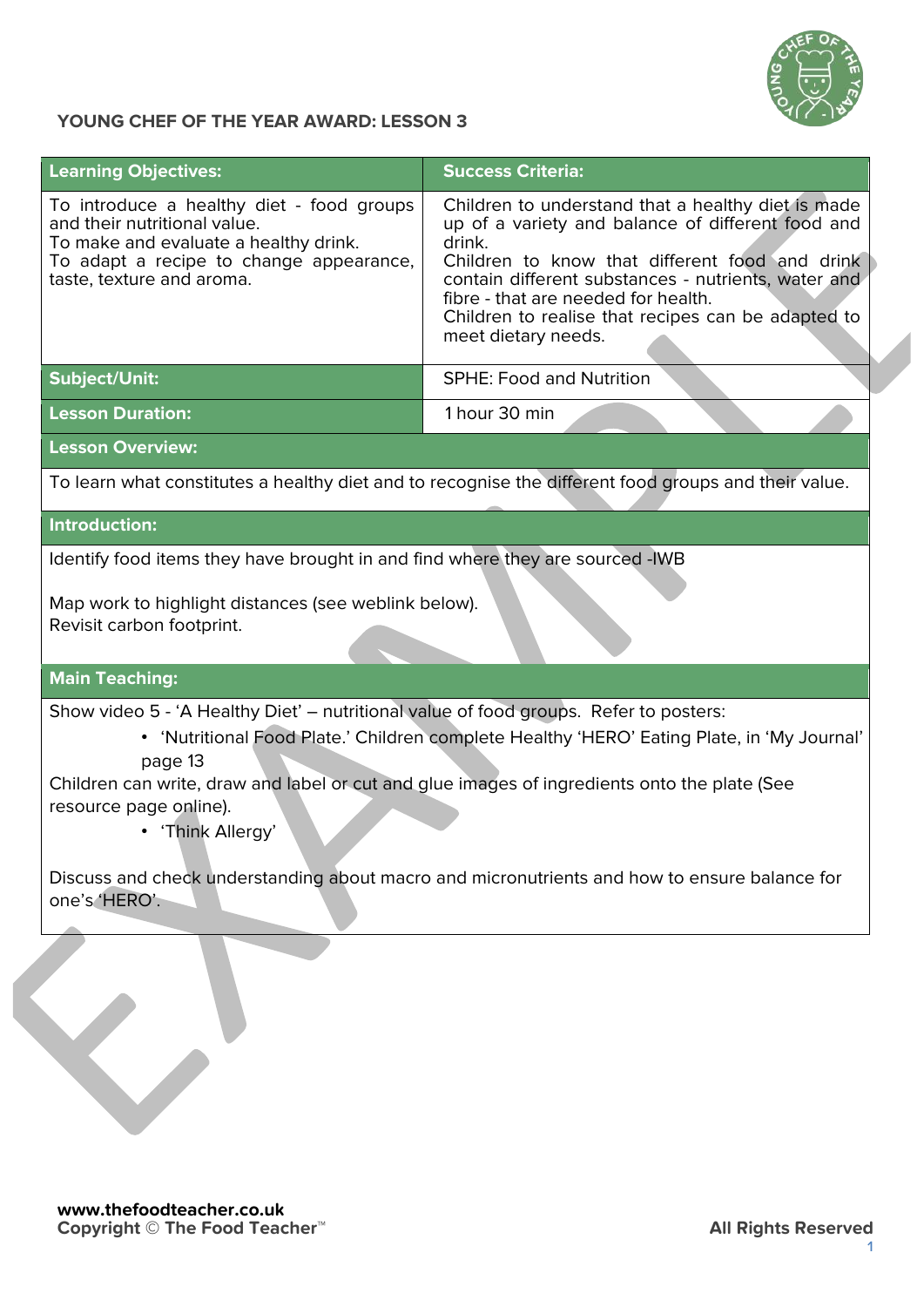

## **YOUNG CHEF OF THE YEAR AWARD: LESSON 3**

| <b>Learning Objectives:</b>                                                                                                                                                                                                                                                                                                                   | <b>Success Criteria:</b>                                                                                                                                                                                                                                                                                                                       |  |  |
|-----------------------------------------------------------------------------------------------------------------------------------------------------------------------------------------------------------------------------------------------------------------------------------------------------------------------------------------------|------------------------------------------------------------------------------------------------------------------------------------------------------------------------------------------------------------------------------------------------------------------------------------------------------------------------------------------------|--|--|
| To introduce a healthy diet - food groups<br>and their nutritional value.<br>To make and evaluate a healthy drink.<br>To adapt a recipe to change appearance,<br>taste, texture and aroma.                                                                                                                                                    | Children to understand that a healthy diet is made<br>up of a variety and balance of different food and<br>drink.<br>Children to know that different food and drink<br>contain different substances - nutrients, water and<br>fibre - that are needed for health.<br>Children to realise that recipes can be adapted to<br>meet dietary needs. |  |  |
| <b>Subject/Unit:</b>                                                                                                                                                                                                                                                                                                                          | <b>SPHE: Food and Nutrition</b>                                                                                                                                                                                                                                                                                                                |  |  |
| <b>Lesson Duration:</b>                                                                                                                                                                                                                                                                                                                       | 1 hour 30 min                                                                                                                                                                                                                                                                                                                                  |  |  |
| <b>Lesson Overview:</b>                                                                                                                                                                                                                                                                                                                       |                                                                                                                                                                                                                                                                                                                                                |  |  |
| To learn what constitutes a healthy diet and to recognise the different food groups and their value.                                                                                                                                                                                                                                          |                                                                                                                                                                                                                                                                                                                                                |  |  |
| Introduction:                                                                                                                                                                                                                                                                                                                                 |                                                                                                                                                                                                                                                                                                                                                |  |  |
| Identify food items they have brought in and find where they are sourced -IWB                                                                                                                                                                                                                                                                 |                                                                                                                                                                                                                                                                                                                                                |  |  |
| Map work to highlight distances (see weblink below).<br>Revisit carbon footprint.                                                                                                                                                                                                                                                             |                                                                                                                                                                                                                                                                                                                                                |  |  |
| <b>Main Teaching:</b>                                                                                                                                                                                                                                                                                                                         |                                                                                                                                                                                                                                                                                                                                                |  |  |
| Show video 5 - 'A Healthy Diet' - nutritional value of food groups. Refer to posters:<br>• 'Nutritional Food Plate.' Children complete Healthy 'HERO' Eating Plate, in 'My Journal'<br>page 13<br>Children can write, draw and label or cut and glue images of ingredients onto the plate (See<br>resource page online).<br>• 'Think Allergy' |                                                                                                                                                                                                                                                                                                                                                |  |  |
| Discuss and check understanding about macro and micronutrients and how to ensure balance for<br>one's 'HERO'.                                                                                                                                                                                                                                 |                                                                                                                                                                                                                                                                                                                                                |  |  |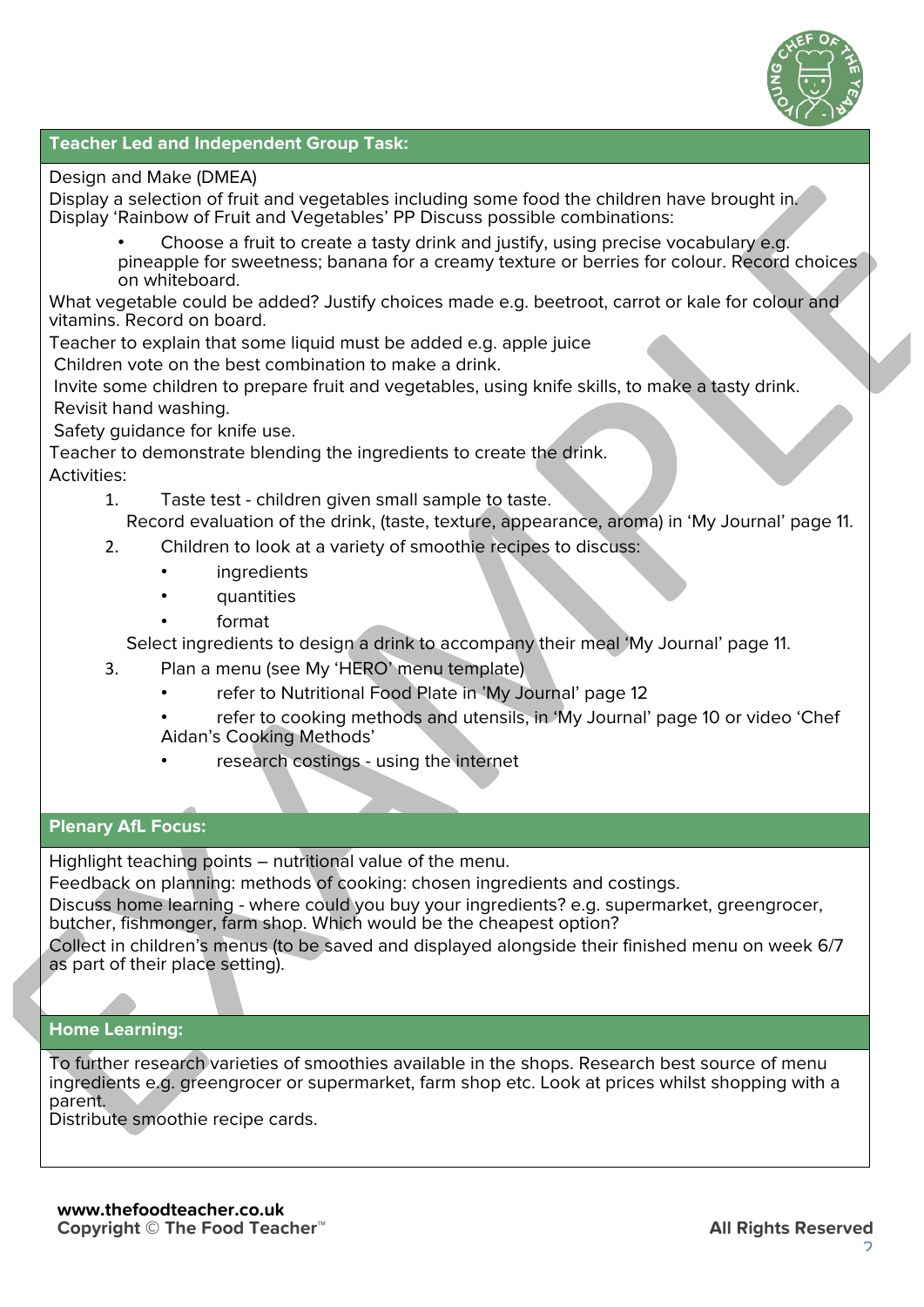

#### **Teacher Led and Independent Group Task:**

#### Design and Make (DMEA)

Display a selection of fruit and vegetables including some food the children have brought in. Display 'Rainbow of Fruit and Vegetables' PP Discuss possible combinations:

- Choose a fruit to create a tasty drink and justify, using precise vocabulary e.g.
- pineapple for sweetness; banana for a creamy texture or berries for colour. Record choices on whiteboard.

What vegetable could be added? Justify choices made e.g. beetroot, carrot or kale for colour and vitamins. Record on board.

Teacher to explain that some liquid must be added e.g. apple juice

Children vote on the best combination to make a drink.

Invite some children to prepare fruit and vegetables, using knife skills, to make a tasty drink. Revisit hand washing.

Safety guidance for knife use.

Teacher to demonstrate blending the ingredients to create the drink. Activities:

- 1. Taste test children given small sample to taste. Record evaluation of the drink, (taste, texture, appearance, aroma) in 'My Journal' page 11.
- 2. Children to look at a variety of smoothie recipes to discuss:
	- **ingredients** 
		- quantities
	- format

Select ingredients to design a drink to accompany their meal 'My Journal' page 11.

- 3. Plan a menu (see My 'HERO' menu template)
	- refer to Nutritional Food Plate in 'My Journal' page 12
	- refer to cooking methods and utensils, in 'My Journal' page 10 or video 'Chef Aidan's Cooking Methods'
	- research costings using the internet

## **Plenary AfL Focus:**

Highlight teaching points – nutritional value of the menu.

Feedback on planning: methods of cooking: chosen ingredients and costings.

Discuss home learning - where could you buy your ingredients? e.g. supermarket, greengrocer, butcher, fishmonger, farm shop. Which would be the cheapest option?

Collect in children's menus (to be saved and displayed alongside their finished menu on week 6/7 as part of their place setting).

# **Home Learning:**

To further research varieties of smoothies available in the shops. Research best source of menu ingredients e.g. greengrocer or supermarket, farm shop etc. Look at prices whilst shopping with a parent.

Distribute smoothie recipe cards.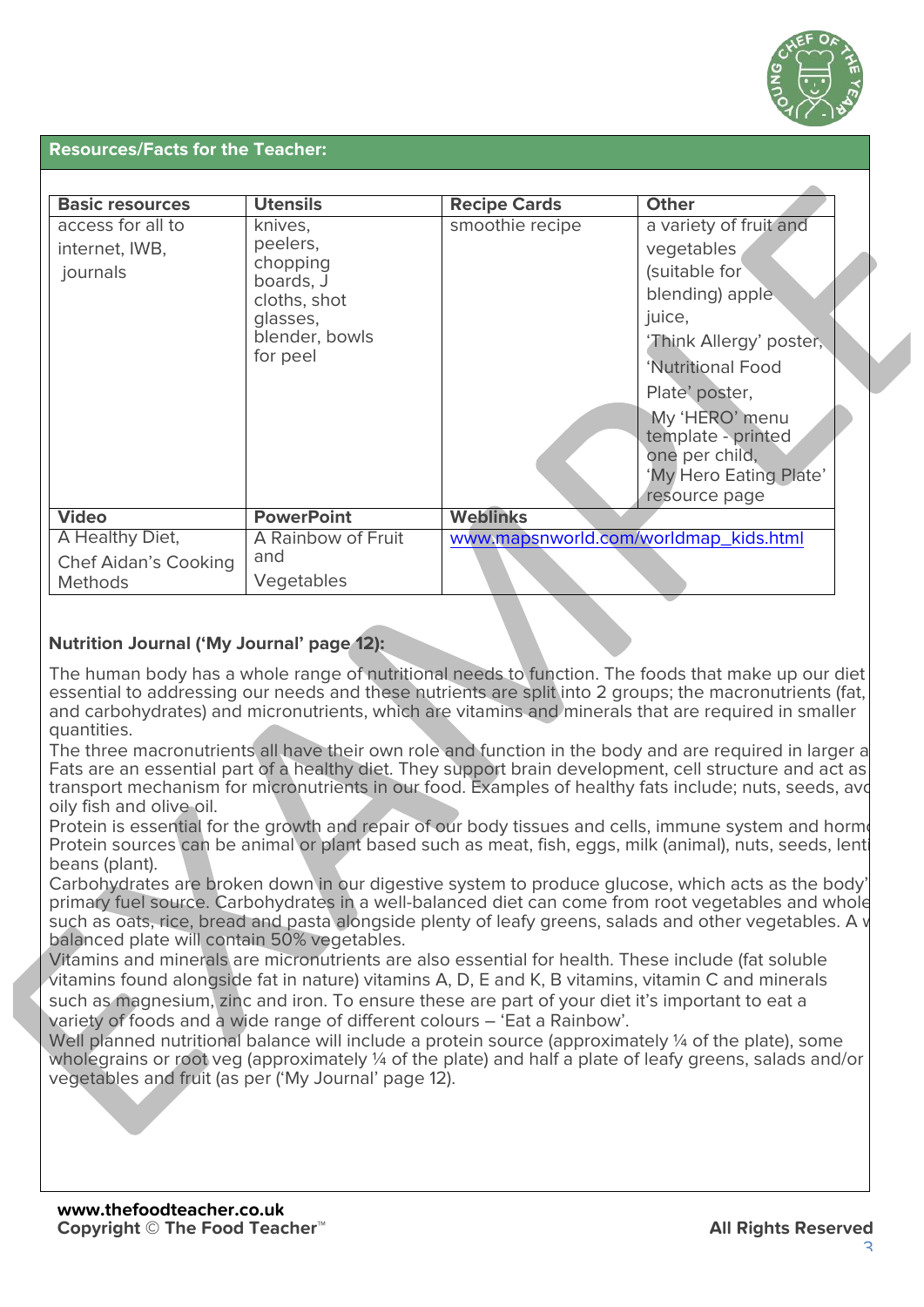

#### **Resources/Facts for the Teacher:**

| <b>Basic resources</b>                          | <b>Utensils</b>                                                                                        | <b>Recipe Cards</b>                   | <b>Other</b>                                                                                                                                                                                                                                              |
|-------------------------------------------------|--------------------------------------------------------------------------------------------------------|---------------------------------------|-----------------------------------------------------------------------------------------------------------------------------------------------------------------------------------------------------------------------------------------------------------|
| access for all to<br>internet, IWB,<br>journals | knives,<br>peelers,<br>chopping<br>boards, J<br>cloths, shot<br>glasses,<br>blender, bowls<br>for peel | smoothie recipe                       | a variety of fruit and<br>vegetables<br>(suitable for<br>blending) apple<br>juice,<br>'Think Allergy' poster,<br>'Nutritional Food<br>Plate' poster,<br>My 'HERO' menu<br>template - printed<br>one per child,<br>'My Hero Eating Plate'<br>resource page |
| <b>Video</b>                                    | <b>PowerPoint</b>                                                                                      | <b>Weblinks</b>                       |                                                                                                                                                                                                                                                           |
| A Healthy Diet,<br><b>Chef Aidan's Cooking</b>  | A Rainbow of Fruit<br>and                                                                              | www.mapsnworld.com/worldmap_kids.html |                                                                                                                                                                                                                                                           |
| <b>Methods</b>                                  | Vegetables                                                                                             |                                       |                                                                                                                                                                                                                                                           |

# **Nutrition Journal ('My Journal' page 12):**

The human body has a whole range of nutritional needs to function. The foods that make up our diet essential to addressing our needs and these nutrients are split into 2 groups; the macronutrients (fat, and carbohydrates) and micronutrients, which are vitamins and minerals that are required in smaller quantities.

The three macronutrients all have their own role and function in the body and are required in larger a Fats are an essential part of a healthy diet. They support brain development, cell structure and act as transport mechanism for micronutrients in our food. Examples of healthy fats include; nuts, seeds, avo oily fish and olive oil.

Protein is essential for the growth and repair of our body tissues and cells, immune system and hormones. Protein sources can be animal or plant based such as meat, fish, eggs, milk (animal), nuts, seeds, lentil beans (plant).

Carbohydrates are broken down in our digestive system to produce glucose, which acts as the body' primary fuel source. Carbohydrates in a well-balanced diet can come from root vegetables and whole such as oats, rice, bread and pasta alongside plenty of leafy greens, salads and other vegetables. A v balanced plate will contain 50% vegetables.

Vitamins and minerals are micronutrients are also essential for health. These include (fat soluble vitamins found alongside fat in nature) vitamins A, D, E and K, B vitamins, vitamin C and minerals such as magnesium, zinc and iron. To ensure these are part of your diet it's important to eat a variety of foods and a wide range of different colours – 'Eat a Rainbow'.

Well planned nutritional balance will include a protein source (approximately 1/4 of the plate), some wholegrains or root veg (approximately ¼ of the plate) and half a plate of leafy greens, salads and/or vegetables and fruit (as per ('My Journal' page 12).